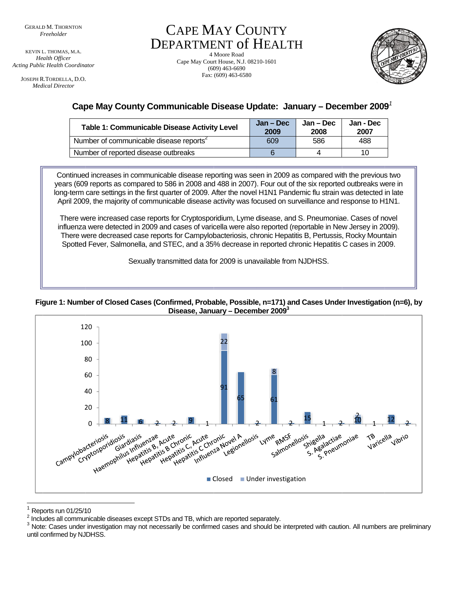KEVIN L. THOMAS, M.A. **Health Officer Acting Public Health Coordinator** 

JOSEPH R.TORDELLA, D.O. **Medical Director** 

**CAPE MAY COUNTY DEPARTMENT of HEALTH** 

4 Moore Road Cape May Court House, N.J. 08210-1601  $(609)$  463-6690 Fax: (609) 463-6580



# Cape May County Communicable Disease Update: January - December 2009<sup>7</sup>

| <b>Table 1: Communicable Disease Activity Level</b> | Jan – Dec<br>2009 | Jan – Dec<br>2008 | Jan - Dec<br>2007 |
|-----------------------------------------------------|-------------------|-------------------|-------------------|
| Number of communicable disease reports <sup>2</sup> | 609               | 586               | 488               |
| Number of reported disease outbreaks                |                   | 4                 | 10                |

Continued increases in communicable disease reporting was seen in 2009 as compared with the previous two years (609 reports as compared to 586 in 2008 and 488 in 2007). Four out of the six reported outbreaks were in long-term care settings in the first quarter of 2009. After the novel H1N1 Pandemic flu strain was detected in late April 2009, the majority of communicable disease activity was focused on surveillance and response to H1N1.

There were increased case reports for Cryptosporidium, Lyme disease, and S. Pneumoniae. Cases of novel influenza were detected in 2009 and cases of varicella were also reported (reportable in New Jersey in 2009). There were decreased case reports for Campylobacteriosis, chronic Hepatitis B, Pertussis, Rocky Mountain Spotted Fever, Salmonella, and STEC, and a 35% decrease in reported chronic Hepatitis C cases in 2009.

Sexually transmitted data for 2009 is unavailable from NJDHSS.





Reports run 01/25/10

<sup>&</sup>lt;sup>2</sup> Includes all communicable diseases except STDs and TB, which are reported separately.

 $3$  Note: Cases under investigation may not necessarily be confirmed cases and should be interpreted with caution. All numbers are preliminary until confirmed by NJDHSS.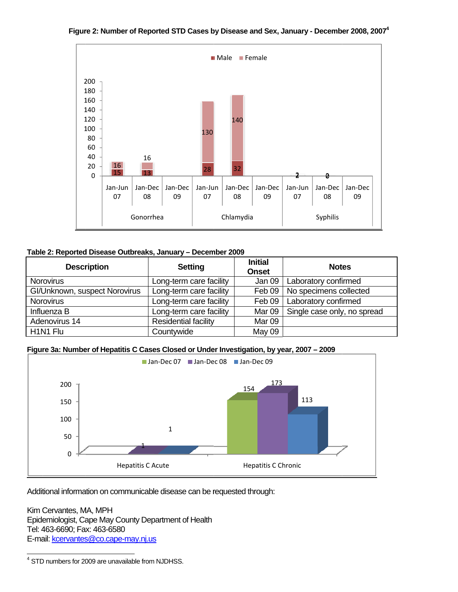

#### Figure 2: Number of Reported STD Cases by Disease and Sex, January - December 2008, 2007<sup>4</sup>

### Table 2: Reported Disease Outbreaks, January - December 2009

| <b>Description</b>                | <b>Setting</b>              | <b>Initial</b><br><b>Onset</b> | <b>Notes</b>                |
|-----------------------------------|-----------------------------|--------------------------------|-----------------------------|
| Norovirus                         | Long-term care facility     | Jan 09                         | Laboratory confirmed        |
| GI/Unknown, suspect Norovirus     | Long-term care facility     | Feb 09                         | No specimens collected      |
| <b>Norovirus</b>                  | Long-term care facility     | Feb 09                         | Laboratory confirmed        |
| Influenza B                       | Long-term care facility     | Mar <sub>09</sub>              | Single case only, no spread |
| Adenovirus 14                     | <b>Residential facility</b> | Mar <sub>09</sub>              |                             |
| H <sub>1</sub> N <sub>1</sub> Flu | Countywide                  | May 09                         |                             |

## Figure 3a: Number of Hepatitis C Cases Closed or Under Investigation, by year, 2007 - 2009



Additional information on communicable disease can be requested through:

Kim Cervantes, MA, MPH Epidemiologist, Cape May County Department of Health Tel: 463-6690; Fax: 463-6580 E-mail: kcervantes@co.cape-may.nj.us

<sup>&</sup>lt;sup>4</sup> STD numbers for 2009 are unavailable from NJDHSS.